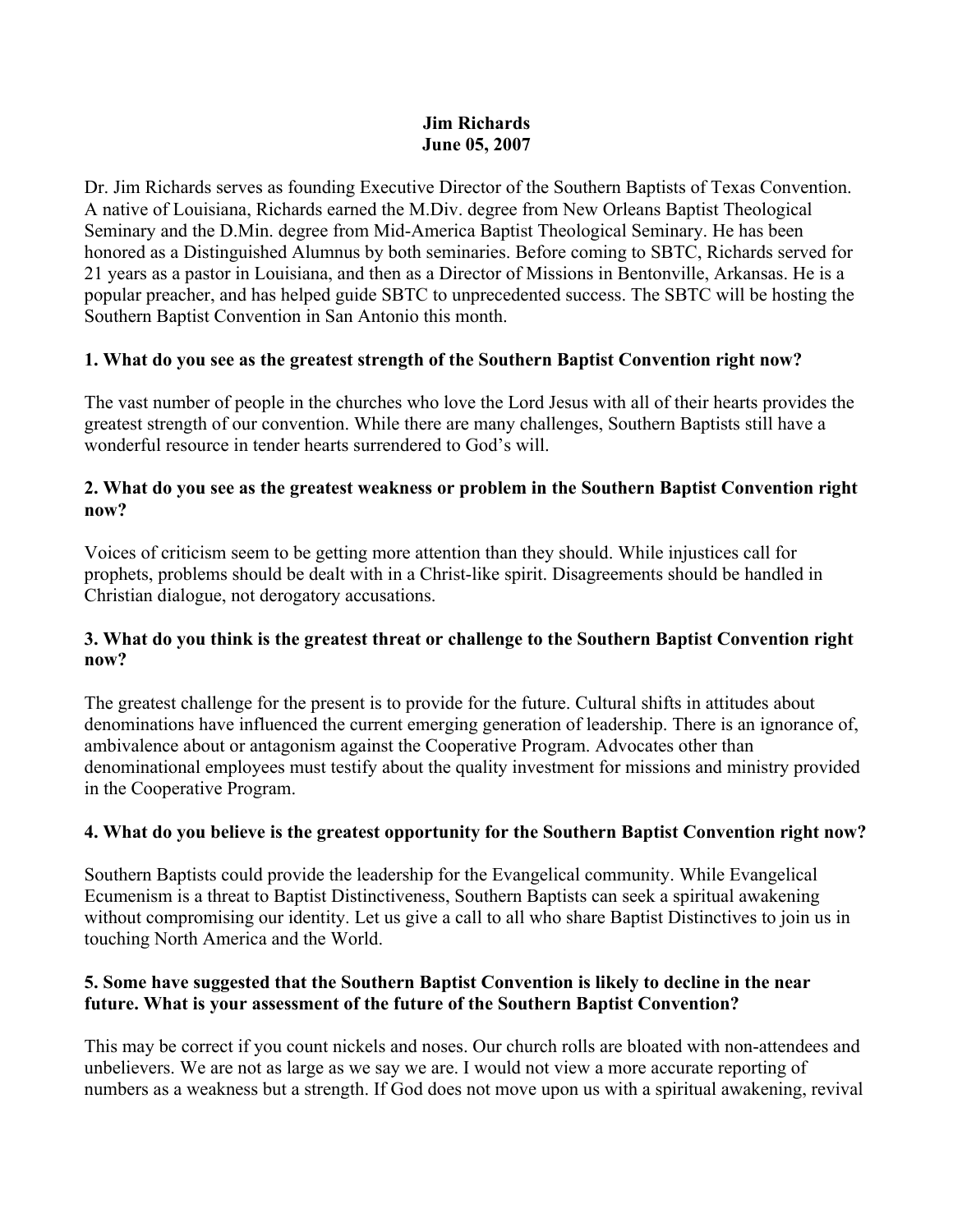#### **Jim Richards June 05, 2007**

Dr. Jim Richards serves as founding Executive Director of the Southern Baptists of Texas Convention. A native of Louisiana, Richards earned the M.Div. degree from New Orleans Baptist Theological Seminary and the D.Min. degree from Mid-America Baptist Theological Seminary. He has been honored as a Distinguished Alumnus by both seminaries. Before coming to SBTC, Richards served for 21 years as a pastor in Louisiana, and then as a Director of Missions in Bentonville, Arkansas. He is a popular preacher, and has helped guide SBTC to unprecedented success. The SBTC will be hosting the Southern Baptist Convention in San Antonio this month.

## **1. What do you see as the greatest strength of the Southern Baptist Convention right now?**

The vast number of people in the churches who love the Lord Jesus with all of their hearts provides the greatest strength of our convention. While there are many challenges, Southern Baptists still have a wonderful resource in tender hearts surrendered to God's will.

### **2. What do you see as the greatest weakness or problem in the Southern Baptist Convention right now?**

Voices of criticism seem to be getting more attention than they should. While injustices call for prophets, problems should be dealt with in a Christ-like spirit. Disagreements should be handled in Christian dialogue, not derogatory accusations.

### **3. What do you think is the greatest threat or challenge to the Southern Baptist Convention right now?**

The greatest challenge for the present is to provide for the future. Cultural shifts in attitudes about denominations have influenced the current emerging generation of leadership. There is an ignorance of, ambivalence about or antagonism against the Cooperative Program. Advocates other than denominational employees must testify about the quality investment for missions and ministry provided in the Cooperative Program.

# **4. What do you believe is the greatest opportunity for the Southern Baptist Convention right now?**

Southern Baptists could provide the leadership for the Evangelical community. While Evangelical Ecumenism is a threat to Baptist Distinctiveness, Southern Baptists can seek a spiritual awakening without compromising our identity. Let us give a call to all who share Baptist Distinctives to join us in touching North America and the World.

### **5. Some have suggested that the Southern Baptist Convention is likely to decline in the near future. What is your assessment of the future of the Southern Baptist Convention?**

This may be correct if you count nickels and noses. Our church rolls are bloated with non-attendees and unbelievers. We are not as large as we say we are. I would not view a more accurate reporting of numbers as a weakness but a strength. If God does not move upon us with a spiritual awakening, revival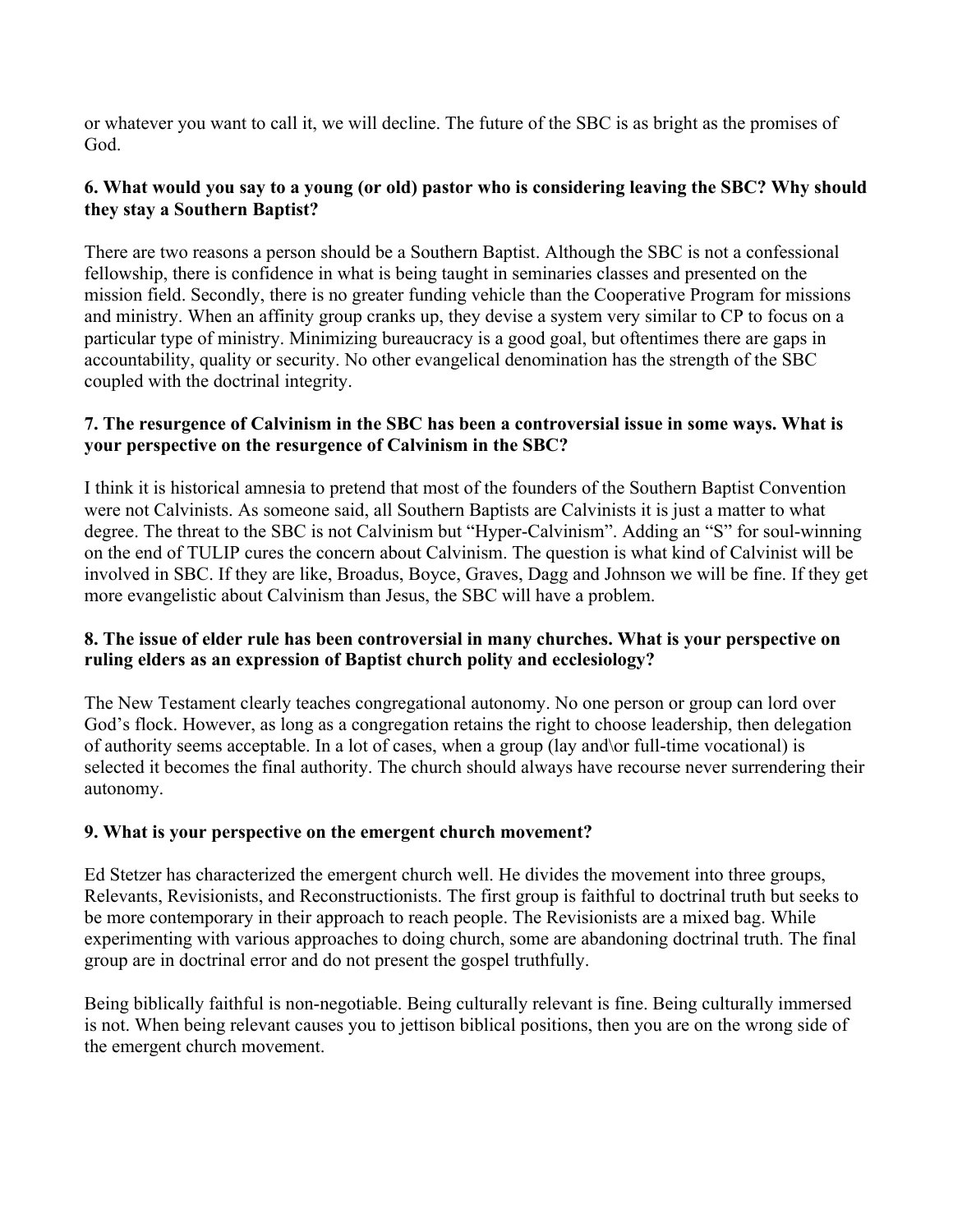or whatever you want to call it, we will decline. The future of the SBC is as bright as the promises of God.

### **6. What would you say to a young (or old) pastor who is considering leaving the SBC? Why should they stay a Southern Baptist?**

There are two reasons a person should be a Southern Baptist. Although the SBC is not a confessional fellowship, there is confidence in what is being taught in seminaries classes and presented on the mission field. Secondly, there is no greater funding vehicle than the Cooperative Program for missions and ministry. When an affinity group cranks up, they devise a system very similar to CP to focus on a particular type of ministry. Minimizing bureaucracy is a good goal, but oftentimes there are gaps in accountability, quality or security. No other evangelical denomination has the strength of the SBC coupled with the doctrinal integrity.

#### **7. The resurgence of Calvinism in the SBC has been a controversial issue in some ways. What is your perspective on the resurgence of Calvinism in the SBC?**

I think it is historical amnesia to pretend that most of the founders of the Southern Baptist Convention were not Calvinists. As someone said, all Southern Baptists are Calvinists it is just a matter to what degree. The threat to the SBC is not Calvinism but "Hyper-Calvinism". Adding an "S" for soul-winning on the end of TULIP cures the concern about Calvinism. The question is what kind of Calvinist will be involved in SBC. If they are like, Broadus, Boyce, Graves, Dagg and Johnson we will be fine. If they get more evangelistic about Calvinism than Jesus, the SBC will have a problem.

### **8. The issue of elder rule has been controversial in many churches. What is your perspective on ruling elders as an expression of Baptist church polity and ecclesiology?**

The New Testament clearly teaches congregational autonomy. No one person or group can lord over God's flock. However, as long as a congregation retains the right to choose leadership, then delegation of authority seems acceptable. In a lot of cases, when a group (lay and\or full-time vocational) is selected it becomes the final authority. The church should always have recourse never surrendering their autonomy.

### **9. What is your perspective on the emergent church movement?**

Ed Stetzer has characterized the emergent church well. He divides the movement into three groups, Relevants, Revisionists, and Reconstructionists. The first group is faithful to doctrinal truth but seeks to be more contemporary in their approach to reach people. The Revisionists are a mixed bag. While experimenting with various approaches to doing church, some are abandoning doctrinal truth. The final group are in doctrinal error and do not present the gospel truthfully.

Being biblically faithful is non-negotiable. Being culturally relevant is fine. Being culturally immersed is not. When being relevant causes you to jettison biblical positions, then you are on the wrong side of the emergent church movement.